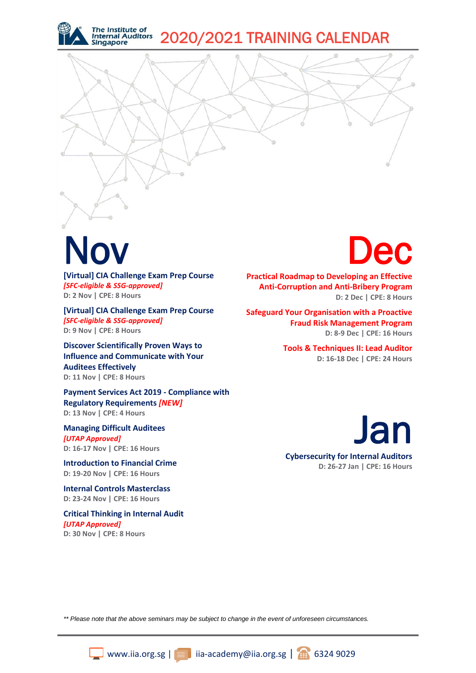

### Nov

**[Virtual] CIA Challenge Exam Prep Course**  *[SFC-eligible & SSG-approved]* **D: 2 Nov | CPE: 8 Hours**

**[Virtual] CIA Challenge Exam Prep Course**  *[SFC-eligible & SSG-approved]* **D: 9 Nov | CPE: 8 Hours**

**Discover Scientifically Proven Ways to Influence and Communicate with Your Auditees Effectively D: 11 Nov | CPE: 8 Hours**

**Payment Services Act 2019 - Compliance with Regulatory Requirements** *[NEW]* **D: 13 Nov | CPE: 4 Hours**

**Managing Difficult Auditees** *[UTAP Approved]* **D: 16-17 Nov | CPE: 16 Hours**

**Introduction to Financial Crime D: 19-20 Nov | CPE: 16 Hours**

**Internal Controls Masterclass D: 23-24 Nov | CPE: 16 Hours**

**Critical Thinking in Internal Audit**  *[UTAP Approved]* **D: 30 Nov | CPE: 8 Hours**

## Dec

**Practical Roadmap to Developing an Effective Anti-Corruption and Anti-Bribery Program D: 2 Dec | CPE: 8 Hours**

**Safeguard Your Organisation with a Proactive Fraud Risk Management Program D: 8-9 Dec | CPE: 16 Hours**

> **Tools & Techniques II: Lead Auditor D: 16-18 Dec | CPE: 24 Hours**

**Cybersecurity for Internal Auditors D: 26-27 Jan | CPE: 16 Hours** Jan

*\*\* Please note that the above seminars may be subject to change in the event of unforeseen circumstances.*

www.iia.org.sg | iia-academy@iia.org.sg |  $\bigoplus$  6324 9029